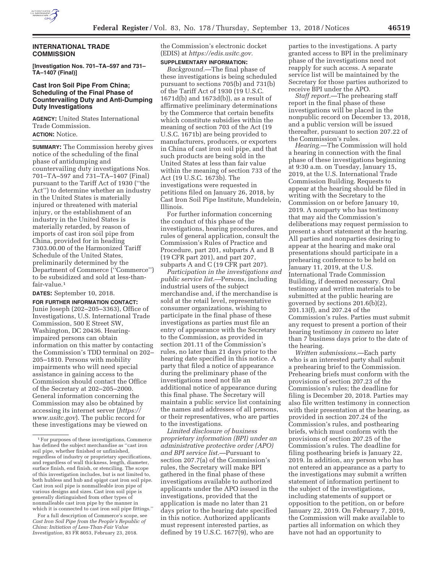

# **INTERNATIONAL TRADE COMMISSION**

**[Investigation Nos. 701–TA–597 and 731– TA–1407 (Final)]** 

### **Cast Iron Soil Pipe From China; Scheduling of the Final Phase of Countervailing Duty and Anti-Dumping Duty Investigations**

**AGENCY:** United States International Trade Commission. **ACTION:** Notice.

**SUMMARY:** The Commission hereby gives notice of the scheduling of the final phase of antidumping and countervailing duty investigations Nos. 701–TA–597 and 731–TA–1407 (Final) pursuant to the Tariff Act of 1930 (''the Act'') to determine whether an industry in the United States is materially injured or threatened with material injury, or the establishment of an industry in the United States is materially retarded, by reason of imports of cast iron soil pipe from China, provided for in heading 7303.00.00 of the Harmonized Tariff Schedule of the United States, preliminarily determined by the Department of Commerce (''Commerce'') to be subsidized and sold at less-thanfair-value.<sup>1</sup>

**DATES:** September 10, 2018.

**FOR FURTHER INFORMATION CONTACT:**  Junie Joseph (202–205–3363), Office of Investigations, U.S. International Trade Commission, 500 E Street SW, Washington, DC 20436. Hearingimpaired persons can obtain information on this matter by contacting the Commission's TDD terminal on 202– 205–1810. Persons with mobility impairments who will need special assistance in gaining access to the Commission should contact the Office of the Secretary at 202–205–2000. General information concerning the Commission may also be obtained by accessing its internet server (*https:// www.usitc.gov*). The public record for these investigations may be viewed on

For a full description of Commerce's scope, see *Cast Iron Soil Pipe from the People's Republic of China: Initiation of Less-Than-Fair Value Investigation,* 83 FR 8053, February 23, 2018.

the Commission's electronic docket (EDIS) at *https://edis.usitc.gov.* 

### **SUPPLEMENTARY INFORMATION:**

*Background.*—The final phase of these investigations is being scheduled pursuant to sections 705(b) and 731(b) of the Tariff Act of 1930 (19 U.S.C. 1671d(b) and 1673d(b)), as a result of affirmative preliminary determinations by the Commerce that certain benefits which constitute subsidies within the meaning of section 703 of the Act (19 U.S.C. 1671b) are being provided to manufacturers, producers, or exporters in China of cast iron soil pipe, and that such products are being sold in the United States at less than fair value within the meaning of section 733 of the Act (19 U.S.C. 1673b). The investigations were requested in petitions filed on January 26, 2018, by Cast Iron Soil Pipe Institute, Mundelein, Illinois.

For further information concerning the conduct of this phase of the investigations, hearing procedures, and rules of general application, consult the Commission's Rules of Practice and Procedure, part 201, subparts A and B (19 CFR part 201), and part 207, subparts A and C (19 CFR part 207).

*Participation in the investigations and public service list.*—Persons, including industrial users of the subject merchandise and, if the merchandise is sold at the retail level, representative consumer organizations, wishing to participate in the final phase of these investigations as parties must file an entry of appearance with the Secretary to the Commission, as provided in section 201.11 of the Commission's rules, no later than 21 days prior to the hearing date specified in this notice. A party that filed a notice of appearance during the preliminary phase of the investigations need not file an additional notice of appearance during this final phase. The Secretary will maintain a public service list containing the names and addresses of all persons, or their representatives, who are parties to the investigations.

*Limited disclosure of business proprietary information (BPI) under an administrative protective order (APO) and BPI service list.*—Pursuant to section 207.7(a) of the Commission's rules, the Secretary will make BPI gathered in the final phase of these investigations available to authorized applicants under the APO issued in the investigations, provided that the application is made no later than 21 days prior to the hearing date specified in this notice. Authorized applicants must represent interested parties, as defined by 19 U.S.C. 1677(9), who are

parties to the investigations. A party granted access to BPI in the preliminary phase of the investigations need not reapply for such access. A separate service list will be maintained by the Secretary for those parties authorized to receive BPI under the APO.

*Staff report.*—The prehearing staff report in the final phase of these investigations will be placed in the nonpublic record on December 13, 2018, and a public version will be issued thereafter, pursuant to section 207.22 of the Commission's rules.

*Hearing.*—The Commission will hold a hearing in connection with the final phase of these investigations beginning at 9:30 a.m. on Tuesday, January 15, 2019, at the U.S. International Trade Commission Building. Requests to appear at the hearing should be filed in writing with the Secretary to the Commission on or before January 10, 2019. A nonparty who has testimony that may aid the Commission's deliberations may request permission to present a short statement at the hearing. All parties and nonparties desiring to appear at the hearing and make oral presentations should participate in a prehearing conference to be held on January 11, 2019, at the U.S. International Trade Commission Building, if deemed necessary. Oral testimony and written materials to be submitted at the public hearing are governed by sections 201.6(b)(2), 201.13(f), and 207.24 of the Commission's rules. Parties must submit any request to present a portion of their hearing testimony *in camera* no later than 7 business days prior to the date of the hearing.

*Written submissions.*—Each party who is an interested party shall submit a prehearing brief to the Commission. Prehearing briefs must conform with the provisions of section 207.23 of the Commission's rules; the deadline for filing is December 20, 2018. Parties may also file written testimony in connection with their presentation at the hearing, as provided in section 207.24 of the Commission's rules, and posthearing briefs, which must conform with the provisions of section 207.25 of the Commission's rules. The deadline for filing posthearing briefs is January 22, 2019. In addition, any person who has not entered an appearance as a party to the investigations may submit a written statement of information pertinent to the subject of the investigations, including statements of support or opposition to the petition, on or before January 22, 2019. On February 7, 2019, the Commission will make available to parties all information on which they have not had an opportunity to

<sup>1</sup>For purposes of these investigations, Commerce has defined the subject merchandise as ''cast iron soil pipe, whether finished or unfinished, regardless of industry or proprietary specifications, and regardless of wall thickness, length, diameter, surface finish, end finish, or stenciling. The scope of this investigation includes, but is not limited to, both hubless and hub and spigot cast iron soil pipe. Cast iron soil pipe is nonmalleable iron pipe of various designs and sizes. Cast iron soil pipe is generally distinguished from other types of nonmalleable cast iron pipe by the manner in which it is connected to cast iron soil pipe fittings.''